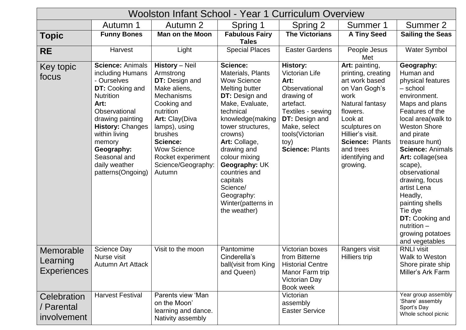| Woolston Infant School - Year 1 Curriculum Overview |                                                                                                                                                                                                                                                                          |                                                                                                                                                                                                                                                            |                                                                                                                                                                                                                                                                                                                                                   |                                                                                                                                                                                                          |                                                                                                                                                                                                                                      |                                                                                                                                                                                                                                                                                                                                                                                                                             |
|-----------------------------------------------------|--------------------------------------------------------------------------------------------------------------------------------------------------------------------------------------------------------------------------------------------------------------------------|------------------------------------------------------------------------------------------------------------------------------------------------------------------------------------------------------------------------------------------------------------|---------------------------------------------------------------------------------------------------------------------------------------------------------------------------------------------------------------------------------------------------------------------------------------------------------------------------------------------------|----------------------------------------------------------------------------------------------------------------------------------------------------------------------------------------------------------|--------------------------------------------------------------------------------------------------------------------------------------------------------------------------------------------------------------------------------------|-----------------------------------------------------------------------------------------------------------------------------------------------------------------------------------------------------------------------------------------------------------------------------------------------------------------------------------------------------------------------------------------------------------------------------|
|                                                     | Autumn 1                                                                                                                                                                                                                                                                 | Autumn 2                                                                                                                                                                                                                                                   | Spring 1                                                                                                                                                                                                                                                                                                                                          | Spring 2                                                                                                                                                                                                 | Summer 1                                                                                                                                                                                                                             | Summer 2                                                                                                                                                                                                                                                                                                                                                                                                                    |
| <b>Topic</b>                                        | <b>Funny Bones</b>                                                                                                                                                                                                                                                       | <b>Man on the Moon</b>                                                                                                                                                                                                                                     | <b>Fabulous Fairy</b><br><b>Tales</b>                                                                                                                                                                                                                                                                                                             | <b>The Victorians</b>                                                                                                                                                                                    | <b>A Tiny Seed</b>                                                                                                                                                                                                                   | <b>Sailing the Seas</b>                                                                                                                                                                                                                                                                                                                                                                                                     |
| <b>RE</b>                                           | Harvest                                                                                                                                                                                                                                                                  | Light                                                                                                                                                                                                                                                      | <b>Special Places</b>                                                                                                                                                                                                                                                                                                                             | <b>Easter Gardens</b>                                                                                                                                                                                    | People Jesus<br>Met                                                                                                                                                                                                                  | Water Symbol                                                                                                                                                                                                                                                                                                                                                                                                                |
| Key topic<br>focus                                  | <b>Science: Animals</b><br>including Humans<br>- Ourselves<br>DT: Cooking and<br><b>Nutrition</b><br>Art:<br>Observational<br>drawing painting<br><b>History: Changes</b><br>within living<br>memory<br>Geography:<br>Seasonal and<br>daily weather<br>patterns(Ongoing) | <b>History - Neil</b><br>Armstrong<br><b>DT:</b> Design and<br>Make aliens,<br>Mechanisms<br>Cooking and<br>nutrition<br>Art: Clay(Diva<br>lamps), using<br>brushes<br>Science:<br><b>Wow Science</b><br>Rocket experiment<br>Science/Geography:<br>Autumn | Science:<br>Materials, Plants<br><b>Wow Science</b><br>Melting butter<br><b>DT:</b> Design and<br>Make, Evaluate,<br>technical<br>knowledge(making<br>tower structures,<br>crowns)<br>Art: Collage,<br>drawing and<br>colour mixing<br>Geography: UK<br>countries and<br>capitals<br>Science/<br>Geography:<br>Winter(patterns in<br>the weather) | <b>History:</b><br><b>Victorian Life</b><br>Art:<br>Observational<br>drawing of<br>artefact.<br>Textiles - sewing<br>DT: Design and<br>Make, select<br>tools(Victorian<br>toy)<br><b>Science: Plants</b> | Art: painting,<br>printing, creating<br>art work based<br>on Van Gogh's<br>work<br>Natural fantasy<br>flowers.<br>Look at<br>sculptures on<br>Hillier's visit.<br><b>Science: Plants</b><br>and trees<br>identifying and<br>growing. | Geography:<br>Human and<br>physical features<br>$-$ school<br>environment.<br>Maps and plans<br>Features of the<br>local area(walk to<br><b>Weston Shore</b><br>and pirate<br>treasure hunt)<br><b>Science: Animals</b><br>Art: collage(sea<br>scape),<br>observational<br>drawing, focus<br>artist Lena<br>Headly,<br>painting shells<br>Tie dye<br>DT: Cooking and<br>$nutrition -$<br>growing potatoes<br>and vegetables |
| Memorable<br>Learning<br><b>Experiences</b>         | <b>Science Day</b><br>Nurse visit<br><b>Autumn Art Attack</b>                                                                                                                                                                                                            | Visit to the moon                                                                                                                                                                                                                                          | Pantomime<br>Cinderella's<br>ball(visit from King<br>and Queen)                                                                                                                                                                                                                                                                                   | Victorian boxes<br>from Bitterne<br><b>Historial Centre</b><br>Manor Farm trip<br><b>Victorian Day</b><br>Book week                                                                                      | Rangers visit<br><b>Hilliers trip</b>                                                                                                                                                                                                | <b>RNLI visit</b><br>Walk to Weston<br>Shore pirate ship<br>Miller's Ark Farm                                                                                                                                                                                                                                                                                                                                               |
| Celebration<br>/ Parental<br>involvement            | <b>Harvest Festival</b>                                                                                                                                                                                                                                                  | Parents view 'Man<br>on the Moon'<br>learning and dance.<br>Nativity assembly                                                                                                                                                                              |                                                                                                                                                                                                                                                                                                                                                   | Victorian<br>assembly<br><b>Easter Service</b>                                                                                                                                                           |                                                                                                                                                                                                                                      | Year group assembly<br>'Share' assembly<br>Sport's Day<br>Whole school picnic                                                                                                                                                                                                                                                                                                                                               |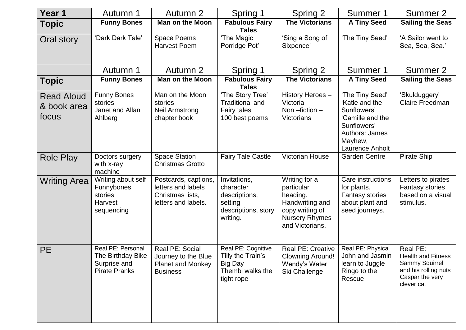| Year 1                                    | Autumn 1                                                                       | Autumn 2                                                                              | Spring 1                                                                                 | Spring 2                                                                                                                  | Summer 1                                                                                                                            | Summer 2                                                                                                         |
|-------------------------------------------|--------------------------------------------------------------------------------|---------------------------------------------------------------------------------------|------------------------------------------------------------------------------------------|---------------------------------------------------------------------------------------------------------------------------|-------------------------------------------------------------------------------------------------------------------------------------|------------------------------------------------------------------------------------------------------------------|
| <b>Topic</b>                              | <b>Funny Bones</b>                                                             | Man on the Moon                                                                       | <b>Fabulous Fairy</b><br><b>Tales</b>                                                    | <b>The Victorians</b>                                                                                                     | <b>A Tiny Seed</b>                                                                                                                  | <b>Sailing the Seas</b>                                                                                          |
| Oral story                                | 'Dark Dark Tale'                                                               | Space Poems<br><b>Harvest Poem</b>                                                    | 'The Magic<br>Porridge Pot'                                                              | 'Sing a Song of<br>Sixpence'                                                                                              | 'The Tiny Seed'                                                                                                                     | 'A Sailor went to<br>Sea, Sea, Sea.'                                                                             |
|                                           | Autumn 1                                                                       | Autumn 2                                                                              | Spring 1                                                                                 | Spring 2                                                                                                                  | Summer 1                                                                                                                            | Summer 2                                                                                                         |
| <b>Topic</b>                              | <b>Funny Bones</b>                                                             | <b>Man on the Moon</b>                                                                | <b>Fabulous Fairy</b><br><b>Tales</b>                                                    | <b>The Victorians</b>                                                                                                     | <b>A Tiny Seed</b>                                                                                                                  | <b>Sailing the Seas</b>                                                                                          |
| <b>Read Aloud</b><br>& book area<br>focus | <b>Funny Bones</b><br>stories<br>Janet and Allan<br>Ahlberg                    | Man on the Moon<br>stories<br><b>Neil Armstrong</b><br>chapter book                   | 'The Story Tree'<br><b>Traditional and</b><br><b>Fairy tales</b><br>100 best poems       | History Heroes -<br>Victoria<br>Non-fiction-<br><b>Victorians</b>                                                         | 'The Tiny Seed'<br>'Katie and the<br>Sunflowers'<br>'Camille and the<br>Sunflowers'<br>Authors: James<br>Mayhew,<br>Laurence Anholt | 'Skulduggery'<br>Claire Freedman                                                                                 |
| <b>Role Play</b>                          | Doctors surgery<br>with x-ray<br>machine                                       | <b>Space Station</b><br><b>Christmas Grotto</b>                                       | <b>Fairy Tale Castle</b>                                                                 | <b>Victorian House</b>                                                                                                    | <b>Garden Centre</b>                                                                                                                | <b>Pirate Ship</b>                                                                                               |
| Writing Area                              | Writing about self<br>Funnybones<br>stories<br>Harvest<br>sequencing           | Postcards, captions,<br>letters and labels<br>Christmas lists,<br>letters and labels. | Invitations,<br>character<br>descriptions,<br>setting<br>descriptions, story<br>writing. | Writing for a<br>particular<br>heading.<br>Handwriting and<br>copy writing of<br><b>Nursery Rhymes</b><br>and Victorians. | Care instructions<br>for plants.<br><b>Fantasy stories</b><br>about plant and<br>seed journeys.                                     | Letters to pirates<br><b>Fantasy stories</b><br>based on a visual<br>stimulus.                                   |
| <b>PE</b>                                 | Real PE: Personal<br>The Birthday Bike<br>Surprise and<br><b>Pirate Pranks</b> | Real PE: Social<br>Journey to the Blue<br><b>Planet and Monkey</b><br><b>Business</b> | Real PE: Cognitive<br>Tilly the Train's<br>Big Day<br>Thembi walks the<br>tight rope     | <b>Real PE: Creative</b><br>Clowning Around!  <br>Wendy's Water<br>Ski Challenge                                          | Real PE: Physical<br>John and Jasmin<br>learn to Juggle<br>Ringo to the<br>Rescue                                                   | Real PE:<br><b>Health and Fitness</b><br>Sammy Squirrel<br>and his rolling nuts<br>Caspar the very<br>clever cat |